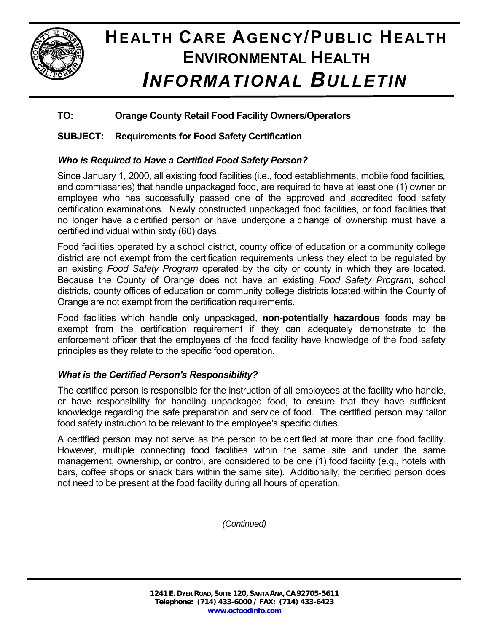

# **HEALTH CARE AGENCY/PUBLIC HEALTH ENVIRONMENTAL HEALTH** *INFORMATIONAL BULLETIN*

## **TO: Orange County Retail Food Facility Owners/Operators**

## **SUBJECT: Requirements for Food Safety Certification**

### *Who is Required to Have a Certified Food Safety Person?*

Since January 1, 2000, all existing food facilities (i.e., food establishments, mobile food facilities*,* and commissaries) that handle unpackaged food, are required to have at least one (1) owner or employee who has successfully passed one of the approved and accredited food safety certification examinations. Newly constructed unpackaged food facilities, or food facilities that no longer have a c ertified person or have undergone a c hange of ownership must have a certified individual within sixty (60) days.

Food facilities operated by a school district, county office of education or a community college district are not exempt from the certification requirements unless they elect to be regulated by an existing *Food Safety Program* operated by the city or county in which they are located. Because the County of Orange does not have an existing *Food Safety Program,* school districts, county offices of education or community college districts located within the County of Orange are not exempt from the certification requirements.

Food facilities which handle only unpackaged, **non-potentially hazardous** foods may be exempt from the certification requirement if they can adequately demonstrate to the enforcement officer that the employees of the food facility have knowledge of the food safety principles as they relate to the specific food operation.

### *What is the Certified Person's Responsibility?*

The certified person is responsible for the instruction of all employees at the facility who handle, or have responsibility for handling unpackaged food, to ensure that they have sufficient knowledge regarding the safe preparation and service of food. The certified person may tailor food safety instruction to be relevant to the employee's specific duties.

A certified person may not serve as the person to be certified at more than one food facility. However, multiple connecting food facilities within the same site and under the same management, ownership, or control, are considered to be one (1) food facility (e.g., hotels with bars, coffee shops or snack bars within the same site). Additionally, the certified person does not need to be present at the food facility during all hours of operation.

*(Continued)*